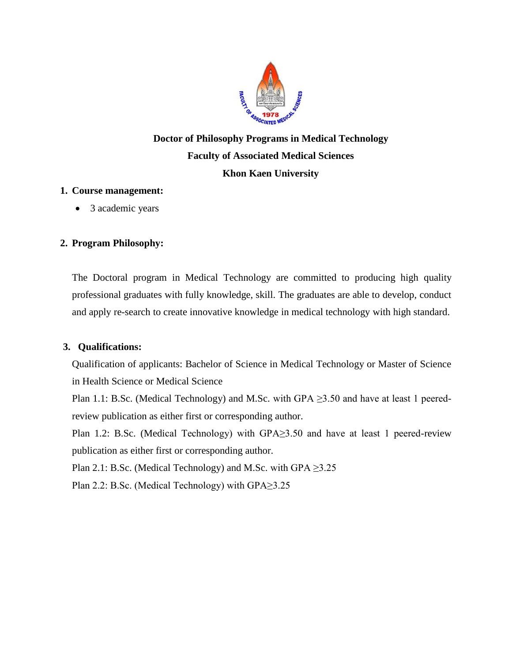

# **Doctor of Philosophy Programs in Medical Technology Faculty of Associated Medical Sciences Khon Kaen University**

#### **1. Course management:**

• 3 academic years

## **2. Program Philosophy:**

The Doctoral program in Medical Technology are committed to producing high quality professional graduates with fully knowledge, skill. The graduates are able to develop, conduct and apply re-search to create innovative knowledge in medical technology with high standard.

### **3. Qualifications:**

Qualification of applicants: Bachelor of Science in Medical Technology or Master of Science in Health Science or Medical Science

Plan 1.1: B.Sc. (Medical Technology) and M.Sc. with GPA  $\geq$ 3.50 and have at least 1 peeredreview publication as either first or corresponding author.

Plan 1.2: B.Sc. (Medical Technology) with GPA≥3.50 and have at least 1 peered-review publication as either first or corresponding author.

Plan 2.1: B.Sc. (Medical Technology) and M.Sc. with GPA  $\geq$ 3.25

Plan 2.2: B.Sc. (Medical Technology) with GPA≥3.25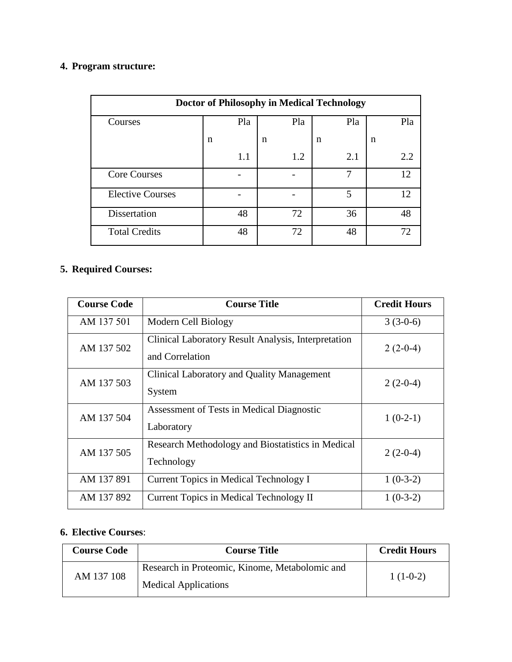## **4. Program structure:**

| <b>Doctor of Philosophy in Medical Technology</b> |     |     |     |     |  |  |  |  |
|---------------------------------------------------|-----|-----|-----|-----|--|--|--|--|
| Courses                                           | Pla | Pla | Pla | Pla |  |  |  |  |
|                                                   | n   | n   | n   | n   |  |  |  |  |
|                                                   | 1.1 | 1.2 | 2.1 | 2.2 |  |  |  |  |
| <b>Core Courses</b>                               |     |     | 7   | 12  |  |  |  |  |
| <b>Elective Courses</b>                           |     |     | 5   | 12  |  |  |  |  |
| Dissertation                                      | 48  | 72  | 36  | 48  |  |  |  |  |
| <b>Total Credits</b>                              | 48  | 72  | 48  | 72  |  |  |  |  |

## **5. Required Courses:**

| <b>Course Code</b> | <b>Course Title</b>                                                    | <b>Credit Hours</b> |
|--------------------|------------------------------------------------------------------------|---------------------|
| AM 137 501         | Modern Cell Biology                                                    | $3(3-0-6)$          |
| AM 137 502         | Clinical Laboratory Result Analysis, Interpretation<br>and Correlation | $2(2-0-4)$          |
| AM 137 503         | Clinical Laboratory and Quality Management<br>System                   | $2(2-0-4)$          |
| AM 137 504         | Assessment of Tests in Medical Diagnostic<br>Laboratory                | $1(0-2-1)$          |
| AM 137 505         | Research Methodology and Biostatistics in Medical<br>Technology        | $2(2-0-4)$          |
| AM 137 891         | Current Topics in Medical Technology I                                 | $1(0-3-2)$          |
| AM 137 892         | Current Topics in Medical Technology II                                | $1(0-3-2)$          |

## **6. Elective Courses**:

| <b>Course Code</b> | <b>Course Title</b>                            | <b>Credit Hours</b> |  |
|--------------------|------------------------------------------------|---------------------|--|
| AM 137 108         | Research in Proteomic, Kinome, Metabolomic and | $1(1-0-2)$          |  |
|                    | <b>Medical Applications</b>                    |                     |  |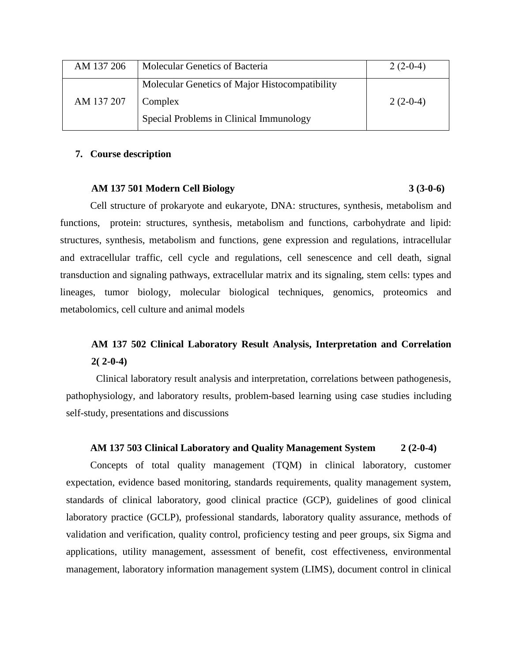| AM 137 206 | Molecular Genetics of Bacteria                 | $2(2-0-4)$ |
|------------|------------------------------------------------|------------|
|            | Molecular Genetics of Major Histocompatibility |            |
| AM 137 207 | Complex                                        | $2(2-0-4)$ |
|            | Special Problems in Clinical Immunology        |            |

#### **7. Course description**

#### **AM 137 501 Modern Cell Biology 3 (3-0-6)**

Cell structure of prokaryote and eukaryote, DNA: structures, synthesis, metabolism and functions, protein: structures, synthesis, metabolism and functions, carbohydrate and lipid: structures, synthesis, metabolism and functions, gene expression and regulations, intracellular and extracellular traffic, cell cycle and regulations, cell senescence and cell death, signal transduction and signaling pathways, extracellular matrix and its signaling, stem cells: types and lineages, tumor biology, molecular biological techniques, genomics, proteomics and metabolomics, cell culture and animal models

## **AM 137 502 Clinical Laboratory Result Analysis, Interpretation and Correlation 2( 2-0-4)**

Clinical laboratory result analysis and interpretation, correlations between pathogenesis, pathophysiology, and laboratory results, problem-based learning using case studies including self-study, presentations and discussions

#### **AM 137 503 Clinical Laboratory and Quality Management System 2 (2-0-4)**

Concepts of total quality management (TQM) in clinical laboratory, customer expectation, evidence based monitoring, standards requirements, quality management system, standards of clinical laboratory, good clinical practice (GCP), guidelines of good clinical laboratory practice (GCLP), professional standards, laboratory quality assurance, methods of validation and verification, quality control, proficiency testing and peer groups, six Sigma and applications, utility management, assessment of benefit, cost effectiveness, environmental management, laboratory information management system (LIMS), document control in clinical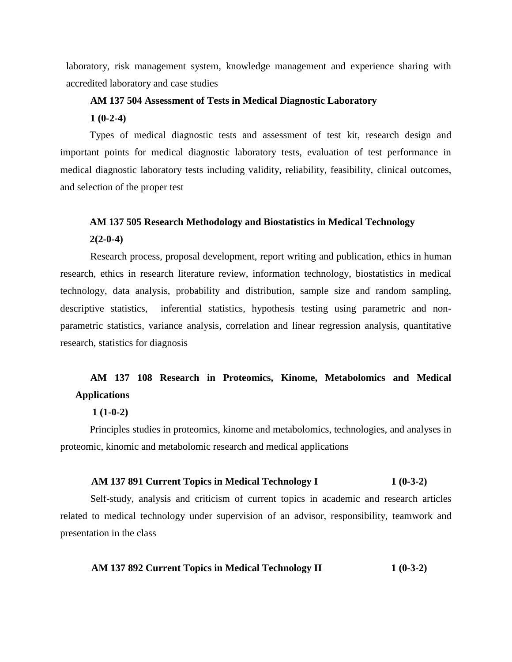laboratory, risk management system, knowledge management and experience sharing with accredited laboratory and case studies

#### **AM 137 504 Assessment of Tests in Medical Diagnostic Laboratory**

**1 (0-2-4)**

Types of medical diagnostic tests and assessment of test kit, research design and important points for medical diagnostic laboratory tests, evaluation of test performance in medical diagnostic laboratory tests including validity, reliability, feasibility, clinical outcomes, and selection of the proper test

# **AM 137 505 Research Methodology and Biostatistics in Medical Technology**

**2(2-0-4)**

Research process, proposal development, report writing and publication, ethics in human research, ethics in research literature review, information technology, biostatistics in medical technology, data analysis, probability and distribution, sample size and random sampling, descriptive statistics, inferential statistics, hypothesis testing using parametric and nonparametric statistics, variance analysis, correlation and linear regression analysis, quantitative research, statistics for diagnosis

## **AM 137 108 Research in Proteomics, Kinome, Metabolomics and Medical Applications**

#### **1 (1-0-2)**

Principles studies in proteomics, kinome and metabolomics, technologies, and analyses in proteomic, kinomic and metabolomic research and medical applications

#### **AM 137 891 Current Topics in Medical Technology I 1 (0-3-2)**

Self-study, analysis and criticism of current topics in academic and research articles related to medical technology under supervision of an advisor, responsibility, teamwork and presentation in the class

#### **AM 137 892 Current Topics in Medical Technology II 1 (0-3-2)**